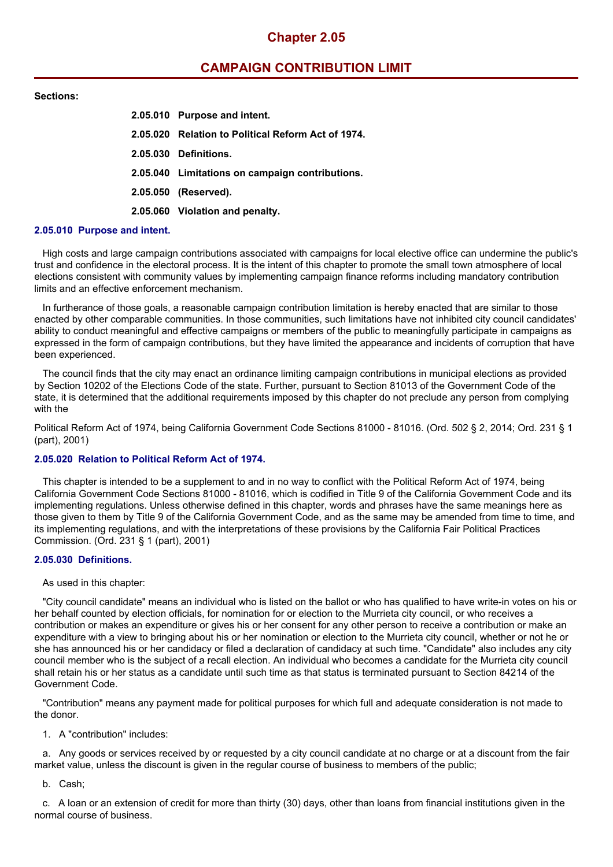# **Chapter 2.05**

# **CAMPAIGN CONTRIBUTION LIMIT**

### **Sections:**

| 2.05.010 Purpose and intent.                       |
|----------------------------------------------------|
| 2.05.020 Relation to Political Reform Act of 1974. |
| 2.05.030 Definitions.                              |
| 2.05.040 Limitations on campaign contributions.    |
| 2.05.050 (Reserved).                               |
| 2.05.060 Violation and penalty.                    |

### **2.05.010 Purpose and intent.**

High costs and large campaign contributions associated with campaigns for local elective office can undermine the public's trust and confidence in the electoral process. It is the intent of this chapter to promote the small town atmosphere of local elections consistent with community values by implementing campaign finance reforms including mandatory contribution limits and an effective enforcement mechanism.

In furtherance of those goals, a reasonable campaign contribution limitation is hereby enacted that are similar to those enacted by other comparable communities. In those communities, such limitations have not inhibited city council candidates' ability to conduct meaningful and effective campaigns or members of the public to meaningfully participate in campaigns as expressed in the form of campaign contributions, but they have limited the appearance and incidents of corruption that have been experienced.

The council finds that the city may enact an ordinance limiting campaign contributions in municipal elections as provided by Section 10202 of the Elections Code of the state. Further, pursuant to Section 81013 of the Government Code of the state, it is determined that the additional requirements imposed by this chapter do not preclude any person from complying with the

Political Reform Act of 1974, being California Government Code Sections 81000 - 81016. (Ord. 502 § 2, 2014; Ord. 231 § 1 (part), 2001)

## **2.05.020 Relation to Political Reform Act of 1974.**

This chapter is intended to be a supplement to and in no way to conflict with the Political Reform Act of 1974, being California Government Code Sections 81000 - 81016, which is codified in Title 9 of the California Government Code and its implementing regulations. Unless otherwise defined in this chapter, words and phrases have the same meanings here as those given to them by Title 9 of the California Government Code, and as the same may be amended from time to time, and its implementing regulations, and with the interpretations of these provisions by the California Fair Political Practices Commission. (Ord. 231 § 1 (part), 2001)

#### **2.05.030 Definitions.**

#### As used in this chapter:

"City council candidate" means an individual who is listed on the ballot or who has qualified to have write-in votes on his or her behalf counted by election officials, for nomination for or election to the Murrieta city council, or who receives a contribution or makes an expenditure or gives his or her consent for any other person to receive a contribution or make an expenditure with a view to bringing about his or her nomination or election to the Murrieta city council, whether or not he or she has announced his or her candidacy or filed a declaration of candidacy at such time. "Candidate" also includes any city council member who is the subject of a recall election. An individual who becomes a candidate for the Murrieta city council shall retain his or her status as a candidate until such time as that status is terminated pursuant to Section 84214 of the Government Code.

"Contribution" means any payment made for political purposes for which full and adequate consideration is not made to the donor.

1. A "contribution" includes:

a. Any goods or services received by or requested by a city council candidate at no charge or at a discount from the fair market value, unless the discount is given in the regular course of business to members of the public;

b. Cash;

c. A loan or an extension of credit for more than thirty (30) days, other than loans from financial institutions given in the normal course of business.